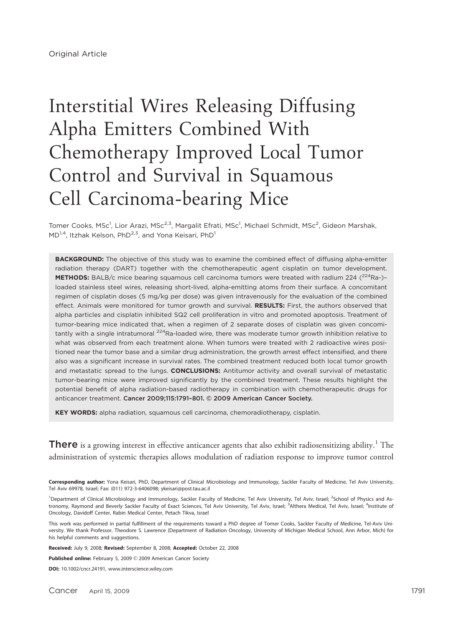# Interstitial Wires Releasing Diffusing Alpha Emitters Combined With Chemotherapy Improved Local Tumor Control and Survival in Squamous Cell Carcinoma-bearing Mice

Tomer Cooks, MSc<sup>1</sup>, Lior Arazi, MSc<sup>2,3</sup>, Margalit Efrati, MSc<sup>1</sup>, Michael Schmidt, MSc<sup>2</sup>, Gideon Marshak, MD<sup>1,4</sup>, Itzhak Kelson, PhD<sup>2,3</sup>, and Yona Keisari, PhD<sup>1</sup>

**BACKGROUND:** The objective of this study was to examine the combined effect of diffusing alpha-emitter radiation therapy (DART) together with the chemotherapeutic agent cisplatin on tumor development. **METHODS:** BALB/c mice bearing squamous cell carcinoma tumors were treated with radium 224  $(^{224}Ra$ -)loaded stainless steel wires, releasing short-lived, alpha-emitting atoms from their surface. A concomitant regimen of cisplatin doses (5 mg/kg per dose) was given intravenously for the evaluation of the combined effect. Animals were monitored for tumor growth and survival. RESULTS: First, the authors observed that alpha particles and cisplatin inhibited SQ2 cell proliferation in vitro and promoted apoptosis. Treatment of tumor-bearing mice indicated that, when a regimen of 2 separate doses of cisplatin was given concomitantly with a single intratumoral <sup>224</sup>Ra-loaded wire, there was moderate tumor growth inhibition relative to what was observed from each treatment alone. When tumors were treated with 2 radioactive wires positioned near the tumor base and a similar drug administration, the growth arrest effect intensified, and there also was a significant increase in survival rates. The combined treatment reduced both local tumor growth and metastatic spread to the lungs. CONCLUSIONS: Antitumor activity and overall survival of metastatic tumor-bearing mice were improved significantly by the combined treatment. These results highlight the potential benefit of alpha radiation-based radiotherapy in combination with chemotherapeutic drugs for anticancer treatment. Cancer 2009;115:1791-801. © 2009 American Cancer Society.

KEY WORDS: alpha radiation, squamous cell carcinoma, chemoradiotherapy, cisplatin.

**There** is a growing interest in effective anticancer agents that also exhibit radiosensitizing ability.<sup>1</sup> The administration of systemic therapies allows modulation of radiation response to improve tumor control

Corresponding author: Yona Keisari, PhD, Department of Clinical Microbiology and Immunology, Sackler Faculty of Medicine, Tel Aviv University, Tel Aviv 69978, Israel; Fax: (011) 972-3-6406098; ykeisari@post.tau.ac.il

<sup>1</sup>Department of Clinical Microbiology and Immunology, Sackler Faculty of Medicine, Tel Aviv University, Tel Aviv, Israel; <sup>2</sup>School of Physics and Astronomy, Raymond and Beverly Sackler Faculty of Exact Sciences, Tel Aviv University, Tel Aviv, Israel; <sup>3</sup>Althera Medical, Tel Aviv, Israel; <sup>4</sup>Institute of Oncology, Davidoff Center, Rabin Medical Center, Petach Tikva, Israel

This work was performed in partial fulfillment of the requirements toward a PhD degree of Tomer Cooks, Sackler Faculty of Medicine, Tel-Aviv University. We thank Professor. Theodore S. Lawrence (Department of Radiation Oncology, University of Michigan Medical School, Ann Arbor, Mich) for his helpful comments and suggestions.

Received: July 9, 2008; Revised: September 8, 2008; Accepted: October 22, 2008

Published online: February 5, 2009 © 2009 American Cancer Society

DOI: 10.1002/cncr.24191, www.interscience.wiley.com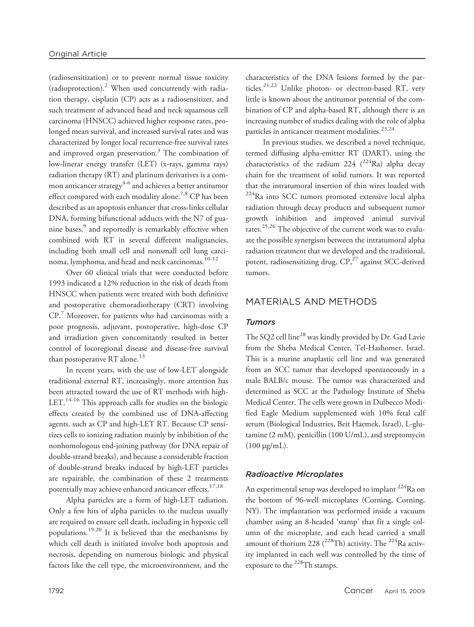(radiosensitization) or to prevent normal tissue toxicity (radioprotection). $^{2}$  When used concurrently with radiation therapy, cisplatin (CP) acts as a radiosensitizer, and such treatment of advanced head and neck squamous cell carcinoma (HNSCC) achieved higher response rates, prolonged mean survival, and increased survival rates and was characterized by longer local recurrence-free survival rates and improved organ preservation. $3$  The combination of low-linerar energy transfer (LET) (x-rays, gamma rays) radiation therapy (RT) and platinum derivatives is a common anticancer strategy $4-6$  and achieves a better antitumor effect compared with each modality alone.<sup>7,8</sup> CP has been described as an apoptosis enhancer that cross-links cellular DNA, forming bifunctional adducts with the N7 of guanine bases,<sup>9</sup> and reportedly is remarkably effective when combined with RT in several different malignancies, including both small cell and nonsmall cell lung carcinoma, lymphoma, and head and neck carcinomas.<sup>10-12</sup>

Over 60 clinical trials that were conducted before 1993 indicated a 12% reduction in the risk of death from HNSCC when patients were treated with both definitive and postoperative chemoradiotherapy (CRT) involving  $CP<sup>7</sup>$  Moreover, for patients who had carcinomas with a poor prognosis, adjuvant, postoperative, high-dose CP and irradiation given concomitantly resulted in better control of locoregional disease and disease-free survival than postoperative RT alone.<sup>13</sup>

In recent years, with the use of low-LET alongside traditional external RT, increasingly, more attention has been attracted toward the use of RT methods with high-LET. $14-16$  This approach calls for studies on the biologic effects created by the combined use of DNA-affecting agents. such as CP and high-LET RT. Because CP sensitizes cells to ionizing radiation mainly by inhibition of the nonhomologous end-joining pathway (for DNA repair of double-strand breaks), and because a considerable fraction of double-strand breaks induced by high-LET particles are repairable, the combination of these 2 treatments potentially may achieve enhanced anticancer effects.<sup>17,18</sup>

Alpha particles are a form of high-LET radiation. Only a few hits of alpha particles to the nucleus usually are required to ensure cell death, including in hypoxic cell populations.19,20 It is believed that the mechanisms by which cell death is initiated involve both apoptosis and necrosis, depending on numerous biologic and physical factors like the cell type, the microenvironment, and the characteristics of the DNA lesions formed by the particles.<sup>21,22</sup> Unlike photon- or electron-based RT, very little is known about the antitumor potential of the combination of CP and alpha-based RT, although there is an increasing number of studies dealing with the role of alpha particles in anticancer treatment modalities.<sup>23,24</sup>

In previous studies. we described a novel technique, termed diffusing alpha-emitter RT (DART), using the characteristics of the radium 224  $(^{224}$ Ra) alpha decay chain for the treatment of solid tumors. It was reported that the intratumoral insertion of thin wires loaded with <sup>224</sup>Ra into SCC tumors promoted extensive local alpha radiation through decay products and subsequent tumor growth inhibition and improved animal survival rates.25,26 The objective of the current work was to evaluate the possible synergism between the intratumoral alpha radiation treatment that we developed and the traditional, potent, radiosensitizing drug,  $CP<sub>z</sub><sup>27</sup>$  against SCC-derived tumors.

## MATERIALS AND METHODS

#### **Tumors**

The SQ2 cell line<sup>28</sup> was kindly provided by Dr. Gad Lavie from the Sheba Medical Center, Tel-Hashomer, Israel. This is a murine anaplastic cell line and was generated from an SCC tumor that developed spontaneously in a male BALB/c mouse. The tumor was characterized and determined as SCC at the Pathology Institute of Sheba Medical Center. The cells were grown in Dulbecco Modified Eagle Medium supplemented with 10% fetal calf serum (Biological Industries, Beit Haemek, Israel), L-glutamine (2 mM), penicillin (100 U/mL), and streptomycin  $(100 \mu g/mL)$ .

#### Radioactive Microplates

An experimental setup was developed to implant  $^{224}$ Ra on the bottom of 96-well microplates (Corning, Corning, NY). The implantation was performed inside a vacuum chamber using an 8-headed 'stamp' that fit a single column of the microplate, and each head carried a small amount of thorium 228 ( $^{228}$ Th) activity. The  $^{224}$ Ra activity implanted in each well was controlled by the time of exposure to the <sup>228</sup>Th stamps.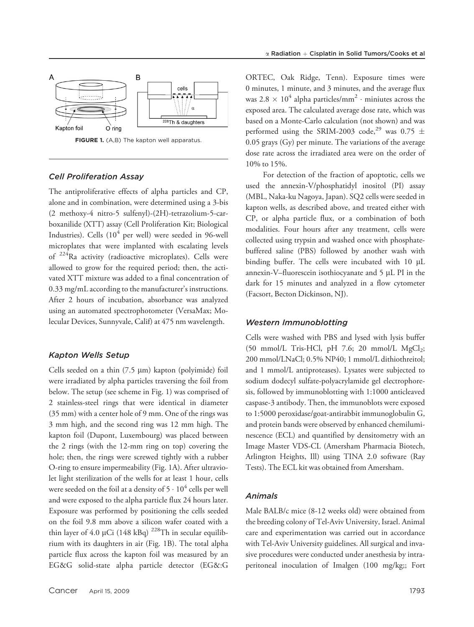

FIGURE 1. (A,B) The kapton well apparatus.

## Cell Proliferation Assay

The antiproliferative effects of alpha particles and CP, alone and in combination, were determined using a 3-bis (2 methoxy-4 nitro-5 sulfenyl)-(2H)-tetrazolium-5-carboxanilide (XTT) assay (Cell Proliferation Kit; Biological Industries). Cells  $(10^4$  per well) were seeded in 96-well microplates that were implanted with escalating levels of 224Ra activity (radioactive microplates). Cells were allowed to grow for the required period; then, the activated XTT mixture was added to a final concentration of 0.33 mg/mL according to the manufacturer's instructions. After 2 hours of incubation, absorbance was analyzed using an automated spectrophotometer (VersaMax; Molecular Devices, Sunnyvale, Calif) at 475 nm wavelength.

#### Kapton Wells Setup

Cells seeded on a thin  $(7.5 \mu m)$  kapton (polyimide) foil were irradiated by alpha particles traversing the foil from below. The setup (see scheme in Fig. 1) was comprised of 2 stainless-steel rings that were identical in diameter (35 mm) with a center hole of 9 mm. One of the rings was 3 mm high, and the second ring was 12 mm high. The kapton foil (Dupont, Luxembourg) was placed between the 2 rings (with the 12-mm ring on top) covering the hole; then, the rings were screwed tightly with a rubber O-ring to ensure impermeability (Fig. 1A). After ultraviolet light sterilization of the wells for at least 1 hour, cells were seeded on the foil at a density of  $5 \cdot 10^4$  cells per well and were exposed to the alpha particle flux 24 hours later. Exposure was performed by positioning the cells seeded on the foil 9.8 mm above a silicon wafer coated with a thin layer of 4.0 µCi (148 kBq) <sup>228</sup>Th in secular equilibrium with its daughters in air (Fig. 1B). The total alpha particle flux across the kapton foil was measured by an EG&G solid-state alpha particle detector (EG&:G

ORTEC, Oak Ridge, Tenn). Exposure times were 0 minutes, 1 minute, and 3 minutes, and the average flux was 2.8  $\times$  10<sup>4</sup> alpha particles/mm<sup>2</sup>  $\cdot$  miniutes across the exposed area. The calculated average dose rate, which was based on a Monte-Carlo calculation (not shown) and was performed using the SRIM-2003 code,<sup>29</sup> was 0.75  $\pm$ 0.05 grays (Gy) per minute. The variations of the average dose rate across the irradiated area were on the order of 10% to 15%.

For detection of the fraction of apoptotic, cells we used the annexin-V/phosphatidyl inositol (PI) assay (MBL, Naka-ku Nagoya, Japan). SQ2 cells were seeded in kapton wells, as described above, and treated either with CP, or alpha particle flux, or a combination of both modalities. Four hours after any treatment, cells were collected using trypsin and washed once with phosphatebuffered saline (PBS) followed by another wash with binding buffer. The cells were incubated with 10 µL annexin-V–fluorescein isothiocyanate and 5 µL PI in the dark for 15 minutes and analyzed in a flow cytometer (Facsort, Becton Dickinson, NJ).

#### Western Immunoblotting

Cells were washed with PBS and lysed with lysis buffer (50 mmol/L Tris-HCl, pH 7.6; 20 mmol/L  $MgCl<sub>2</sub>$ ; 200 mmol/LNaCl; 0.5% NP40; 1 mmol/L dithiothreitol; and 1 mmol/L antiproteases). Lysates were subjected to sodium dodecyl sulfate-polyacrylamide gel electrophoresis, followed by immunoblotting with 1:1000 anticleaved caspase-3 antibody. Then, the immunoblots were exposed to 1:5000 peroxidase/goat-antirabbit immunoglobulin G, and protein bands were observed by enhanced chemiluminescence (ECL) and quantified by densitometry with an Image Master VDS-CL (Amersham Pharmacia Biotech, Arlington Heights, Ill) using TINA 2.0 software (Ray Tests). The ECL kit was obtained from Amersham.

#### Animals

Male BALB/c mice (8-12 weeks old) were obtained from the breeding colony of Tel-Aviv University, Israel. Animal care and experimentation was carried out in accordance with Tel-Aviv University guidelines. All surgical and invasive procedures were conducted under anesthesia by intraperitoneal inoculation of Imalgen (100 mg/kg;; Fort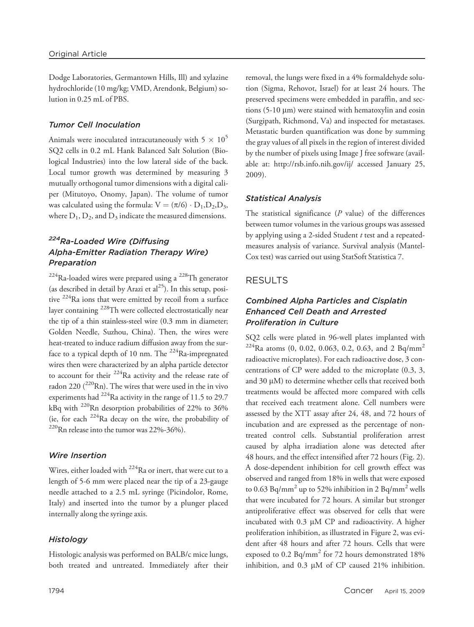Dodge Laboratories, Germantown Hills, Ill) and xylazine hydrochloride (10 mg/kg; VMD, Arendonk, Belgium) solution in 0.25 mL of PBS.

#### Tumor Cell Inoculation

Animals were inoculated intracutaneously with  $5 \times 10^5$ SQ2 cells in 0.2 mL Hank Balanced Salt Solution (Biological Industries) into the low lateral side of the back. Local tumor growth was determined by measuring 3 mutually orthogonal tumor dimensions with a digital caliper (Mitutoyo, Onomy, Japan). The volume of tumor was calculated using the formula:  $V = (\pi/6) \cdot D_1, D_2, D_3$ , where  $D_1$ ,  $D_2$ , and  $D_3$  indicate the measured dimensions.

# <sup>224</sup>Ra-Loaded Wire (Diffusing Alpha-Emitter Radiation Therapy Wire) Preparation

 $224$ Ra-loaded wires were prepared using a  $228$ Th generator (as described in detail by Arazi et  $al^{25}$ ). In this setup, positive  $224$ Ra ions that were emitted by recoil from a surface layer containing 228Th were collected electrostatically near the tip of a thin stainless-steel wire (0.3 mm in diameter; Golden Needle, Suzhou, China). Then, the wires were heat-treated to induce radium diffusion away from the surface to a typical depth of 10 nm. The  $^{224}$ Ra-impregnated wires then were characterized by an alpha particle detector to account for their  $^{224}$ Ra activity and the release rate of radon 220 ( $^{220}$ Rn). The wires that were used in the in vivo experiments had 224Ra activity in the range of 11.5 to 29.7 kBq with 220Rn desorption probabilities of 22% to 36% (ie, for each 224Ra decay on the wire, the probability of  $^{220}$ Rn release into the tumor was 22%-36%).

#### Wire Insertion

Wires, either loaded with  $^{224}$ Ra or inert, that were cut to a length of 5-6 mm were placed near the tip of a 23-gauge needle attached to a 2.5 mL syringe (Picindolor, Rome, Italy) and inserted into the tumor by a plunger placed internally along the syringe axis.

## **Histology**

Histologic analysis was performed on BALB/c mice lungs, both treated and untreated. Immediately after their

removal, the lungs were fixed in a 4% formaldehyde solution (Sigma, Rehovot, Israel) for at least 24 hours. The preserved specimens were embedded in paraffin, and sections (5-10  $\mu$ m) were stained with hematoxylin and eosin (Surgipath, Richmond, Va) and inspected for metastases. Metastatic burden quantification was done by summing the gray values of all pixels in the region of interest divided by the number of pixels using Image J free software (available at: http://rsb.info.nih.gov/ij/ accessed January 25, 2009).

#### Statistical Analysis

The statistical significance  $(P \text{ value})$  of the differences between tumor volumes in the various groups was assessed by applying using a 2-sided Student  $t$  test and a repeatedmeasures analysis of variance. Survival analysis (Mantel-Cox test) was carried out using StatSoft Statistica 7.

## RESULTS

## Combined Alpha Particles and Cisplatin Enhanced Cell Death and Arrested Proliferation in Culture

SQ2 cells were plated in 96-well plates implanted with  $224$ Ra atoms (0, 0.02, 0.063, 0.2, 0.63, and 2 Bq/mm<sup>2</sup> radioactive microplates). For each radioactive dose, 3 concentrations of CP were added to the microplate (0.3, 3, and 30  $\mu$ M) to determine whether cells that received both treatments would be affected more compared with cells that received each treatment alone. Cell numbers were assessed by the XTT assay after 24, 48, and 72 hours of incubation and are expressed as the percentage of nontreated control cells. Substantial proliferation arrest caused by alpha irradiation alone was detected after 48 hours, and the effect intensified after 72 hours (Fig. 2). A dose-dependent inhibition for cell growth effect was observed and ranged from 18% in wells that were exposed to 0.63 Bq/mm<sup>2</sup> up to 52% inhibition in 2 Bq/mm<sup>2</sup> wells that were incubated for 72 hours. A similar but stronger antiproliferative effect was observed for cells that were incubated with  $0.3 \mu M$  CP and radioactivity. A higher proliferation inhibition, as illustrated in Figure 2, was evident after 48 hours and after 72 hours. Cells that were exposed to 0.2 Bq/mm<sup>2</sup> for 72 hours demonstrated 18% inhibition, and  $0.3 \mu M$  of CP caused 21% inhibition.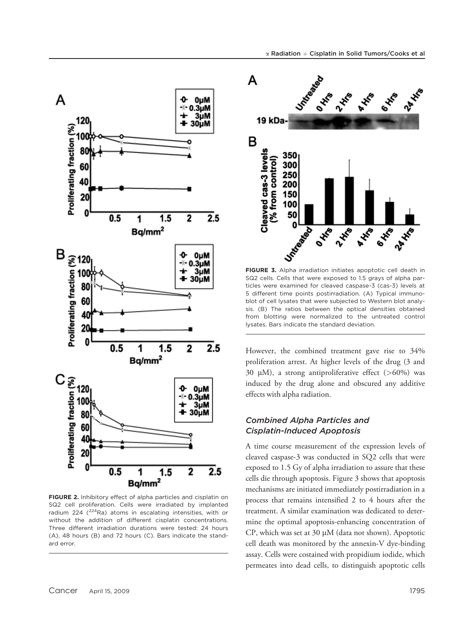

FIGURE 2. Inhibitory effect of alpha particles and cisplatin on SQ2 cell proliferation. Cells were irradiated by implanted radium 224 ( $2^{24}$ Ra) atoms in escalating intensities, with or without the addition of different cisplatin concentrations. Three different irradiation durations were tested: 24 hours (A), 48 hours (B) and 72 hours (C). Bars indicate the standard error.



SQ2 cells. Cells that were exposed to 1.5 grays of alpha particles were examined for cleaved caspase-3 (cas-3) levels at 5 different time points postirradiation. (A) Typical immunoblot of cell lysates that were subjected to Western blot analysis. (B) The ratios between the optical densities obtained from blotting were normalized to the untreated control lysates. Bars indicate the standard deviation.

However, the combined treatment gave rise to 34% proliferation arrest. At higher levels of the drug (3 and 30  $\mu$ M), a strong antiproliferative effect (>60%) was induced by the drug alone and obscured any additive effects with alpha radiation.

## Combined Alpha Particles and Cisplatin-Induced Apoptosis

A time course measurement of the expression levels of cleaved caspase-3 was conducted in SQ2 cells that were exposed to 1.5 Gy of alpha irradiation to assure that these cells die through apoptosis. Figure 3 shows that apoptosis mechanisms are initiated immediately postirradiation in a process that remains intensified 2 to 4 hours after the treatment. A similar examination was dedicated to determine the optimal apoptosis-enhancing concentration of  $CP$ , which was set at 30  $\mu$ M (data not shown). Apoptotic cell death was monitored by the annexin-V dye-binding assay. Cells were costained with propidium iodide, which permeates into dead cells, to distinguish apoptotic cells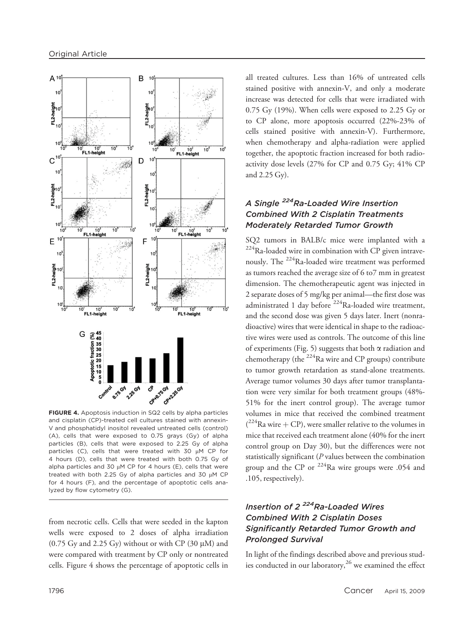

and cisplatin (CP)-treated cell cultures stained with annexin-V and phosphatidyl inositol revealed untreated cells (control) (A), cells that were exposed to 0.75 grays (Gy) of alpha particles (B), cells that were exposed to 2.25 Gy of alpha particles (C), cells that were treated with 30  $\mu$ M CP for 4 hours (D), cells that were treated with both 0.75 Gy of alpha particles and 30  $\mu$ M CP for 4 hours (E), cells that were treated with both 2.25 Gy of alpha particles and 30  $\mu$ M CP for 4 hours (F), and the percentage of apoptotic cells analyzed by flow cytometry (G).

from necrotic cells. Cells that were seeded in the kapton wells were exposed to 2 doses of alpha irradiation  $(0.75 \text{ Gy and } 2.25 \text{ Gy})$  without or with CP  $(30 \text{ µM})$  and were compared with treatment by CP only or nontreated cells. Figure 4 shows the percentage of apoptotic cells in

all treated cultures. Less than 16% of untreated cells stained positive with annexin-V, and only a moderate increase was detected for cells that were irradiated with 0.75 Gy (19%). When cells were exposed to 2.25 Gy or to CP alone, more apoptosis occurred (22%-23% of cells stained positive with annexin-V). Furthermore, when chemotherapy and alpha-radiation were applied together, the apoptotic fraction increased for both radioactivity dose levels (27% for CP and 0.75 Gy; 41% CP and 2.25 Gy).

## A Single <sup>224</sup>Ra-Loaded Wire Insertion Combined With 2 Cisplatin Treatments Moderately Retarded Tumor Growth

SQ2 tumors in BALB/c mice were implanted with a  $224$ Ra-loaded wire in combination with CP given intravenously. The 224Ra-loaded wire treatment was performed as tumors reached the average size of 6 to7 mm in greatest dimension. The chemotherapeutic agent was injected in 2 separate doses of 5 mg/kg per animal—the first dose was administrated 1 day before  $224$ Ra-loaded wire treatment, and the second dose was given 5 days later. Inert (nonradioactive) wires that were identical in shape to the radioactive wires were used as controls. The outcome of this line of experiments (Fig. 5) suggests that both  $\alpha$  radiation and chemotherapy (the  $^{224}$ Ra wire and CP groups) contribute to tumor growth retardation as stand-alone treatments. Average tumor volumes 30 days after tumor transplantation were very similar for both treatment groups (48%- 51% for the inert control group). The average tumor volumes in mice that received the combined treatment  $(^{224}$ Ra wire + CP), were smaller relative to the volumes in mice that received each treatment alone (40% for the inert control group on Day 30), but the differences were not statistically significant ( $P$  values between the combination group and the CP or  $^{224}$ Ra wire groups were .054 and .105, respectively).

# Insertion of  $2^{224}$ Ra-Loaded Wires Combined With 2 Cisplatin Doses Significantly Retarded Tumor Growth and Prolonged Survival

In light of the findings described above and previous studies conducted in our laboratory,<sup>26</sup> we examined the effect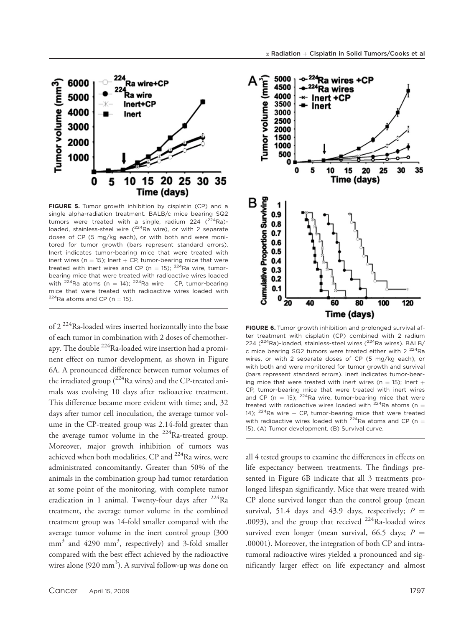

FIGURE 5. Tumor growth inhibition by cisplatin (CP) and a single alpha-radiation treatment. BALB/c mice bearing SQ2 tumors were treated with a single, radium 224  $(^{224}$ Ra)loaded, stainless-steel wire  $(2^{24}$ Ra wire), or with 2 separate doses of CP (5 mg/kg each), or with both and were monitored for tumor growth (bars represent standard errors). Inert indicates tumor-bearing mice that were treated with inert wires ( $n = 15$ ); Inert  $+$  CP, tumor-bearing mice that were treated with inert wires and CP ( $n = 15$ ); <sup>224</sup>Ra wire, tumorbearing mice that were treated with radioactive wires loaded with  $224$ Ra atoms (n = 14);  $224$ Ra wire + CP, tumor-bearing mice that were treated with radioactive wires loaded with  $224$ Ra atoms and CP (n = 15).

of 2 224Ra-loaded wires inserted horizontally into the base of each tumor in combination with 2 doses of chemotherapy. The double  $^{224}$ Ra-loaded wire insertion had a prominent effect on tumor development, as shown in Figure 6A. A pronounced difference between tumor volumes of the irradiated group (224Ra wires) and the CP-treated animals was evolving 10 days after radioactive treatment. This difference became more evident with time; and, 32 days after tumor cell inoculation, the average tumor volume in the CP-treated group was 2.14-fold greater than the average tumor volume in the  $224$ Ra-treated group. Moreover, major growth inhibition of tumors was achieved when both modalities,  $CP$  and  $224$ Ra wires, were administrated concomitantly. Greater than 50% of the animals in the combination group had tumor retardation at some point of the monitoring, with complete tumor eradication in 1 animal. Twenty-four days after  $^{224}$ Ra treatment, the average tumor volume in the combined treatment group was 14-fold smaller compared with the average tumor volume in the inert control group (300  $mm<sup>3</sup>$  and 4290  $mm<sup>3</sup>$ , respectively) and 3-fold smaller compared with the best effect achieved by the radioactive wires alone (920  $\text{mm}^3$ ). A survival follow-up was done on



FIGURE 6. Tumor growth inhibition and prolonged survival after treatment with cisplatin (CP) combined with 2 radium 224 ( $224$ Ra)-loaded, stainless-steel wires ( $224$ Ra wires). BALB/ c mice bearing SQ2 tumors were treated either with  $2^{224}$ Ra wires, or with 2 separate doses of CP (5 mg/kg each), or with both and were monitored for tumor growth and survival (bars represent standard errors). Inert indicates tumor-bearing mice that were treated with inert wires (n = 15); lnert  $+$ CP, tumor-bearing mice that were treated with inert wires and CP (n = 15);  $^{224}$ Ra wire, tumor-bearing mice that were treated with radioactive wires loaded with  $224$ Ra atoms (n = 14);  $^{224}$ Ra wire + CP, tumor-bearing mice that were treated with radioactive wires loaded with  $224$ Ra atoms and CP (n = 15). (A) Tumor development. (B) Survival curve.

all 4 tested groups to examine the differences in effects on life expectancy between treatments. The findings presented in Figure 6B indicate that all 3 treatments prolonged lifespan significantly. Mice that were treated with CP alone survived longer than the control group (mean survival, 51.4 days and 43.9 days, respectively;  $P =$ .0093), and the group that received  $224$ Ra-loaded wires survived even longer (mean survival, 66.5 days;  $P =$ .00001). Moreover, the integration of both CP and intratumoral radioactive wires yielded a pronounced and significantly larger effect on life expectancy and almost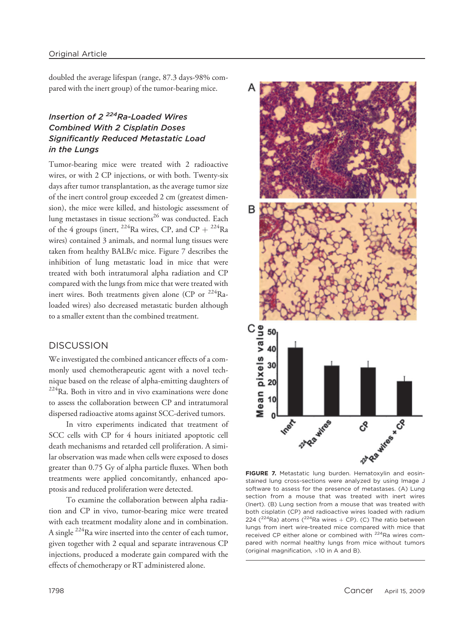doubled the average lifespan (range, 87.3 days-98% compared with the inert group) of the tumor-bearing mice.

# Insertion of 2<sup>224</sup>Ra-Loaded Wires Combined With 2 Cisplatin Doses Significantly Reduced Metastatic Load in the Lungs

Tumor-bearing mice were treated with 2 radioactive wires, or with 2 CP injections, or with both. Twenty-six days after tumor transplantation, as the average tumor size of the inert control group exceeded 2 cm (greatest dimension), the mice were killed, and histologic assessment of lung metastases in tissue sections<sup>26</sup> was conducted. Each of the 4 groups (inert,  $^{224}$ Ra wires, CP, and CP  $+$   $^{224}$ Ra wires) contained 3 animals, and normal lung tissues were taken from healthy BALB/c mice. Figure 7 describes the inhibition of lung metastatic load in mice that were treated with both intratumoral alpha radiation and CP compared with the lungs from mice that were treated with inert wires. Both treatments given alone (CP or  $224$ Raloaded wires) also decreased metastatic burden although to a smaller extent than the combined treatment.

## **DISCUSSION**

We investigated the combined anticancer effects of a commonly used chemotherapeutic agent with a novel technique based on the release of alpha-emitting daughters of  $224$ Ra. Both in vitro and in vivo examinations were done to assess the collaboration between CP and intratumoral dispersed radioactive atoms against SCC-derived tumors.

In vitro experiments indicated that treatment of SCC cells with CP for 4 hours initiated apoptotic cell death mechanisms and retarded cell proliferation. A similar observation was made when cells were exposed to doses greater than 0.75 Gy of alpha particle fluxes. When both treatments were applied concomitantly, enhanced apoptosis and reduced proliferation were detected.

To examine the collaboration between alpha radiation and CP in vivo, tumor-bearing mice were treated with each treatment modality alone and in combination. A single  $^{224}$ Ra wire inserted into the center of each tumor, given together with 2 equal and separate intravenous CP injections, produced a moderate gain compared with the effects of chemotherapy or RT administered alone.



FIGURE 7. Metastatic lung burden. Hematoxylin and eosinstained lung cross-sections were analyzed by using Image J software to assess for the presence of metastases. (A) Lung section from a mouse that was treated with inert wires (Inert). (B) Lung section from a mouse that was treated with both cisplatin (CP) and radioactive wires loaded with radium 224 ( $^{224}$ Ra) atoms ( $^{224}$ Ra wires + CP). (C) The ratio between lungs from inert wire-treated mice compared with mice that received CP either alone or combined with <sup>224</sup>Ra wires compared with normal healthy lungs from mice without tumors (original magnification,  $\times$ 10 in A and B).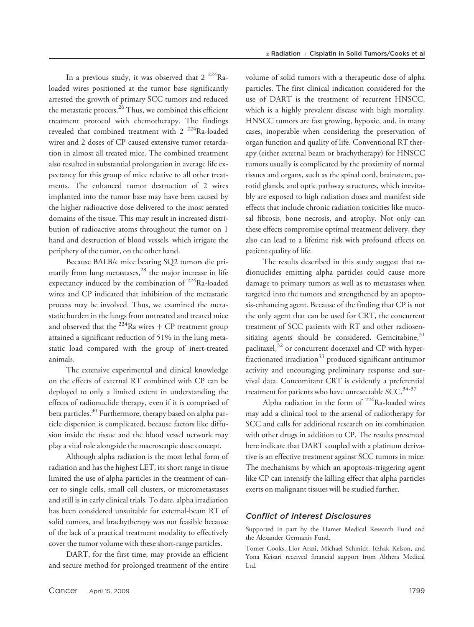In a previous study, it was observed that  $2^{224}$ Raloaded wires positioned at the tumor base significantly arrested the growth of primary SCC tumors and reduced the metastatic process.<sup>26</sup> Thus, we combined this efficient treatment protocol with chemotherapy. The findings revealed that combined treatment with 2<sup>224</sup>Ra-loaded wires and 2 doses of CP caused extensive tumor retardation in almost all treated mice. The combined treatment also resulted in substantial prolongation in average life expectancy for this group of mice relative to all other treatments. The enhanced tumor destruction of 2 wires implanted into the tumor base may have been caused by the higher radioactive dose delivered to the most aerated domains of the tissue. This may result in increased distribution of radioactive atoms throughout the tumor on 1 hand and destruction of blood vessels, which irrigate the periphery of the tumor, on the other hand.

Because BALB/c mice bearing SQ2 tumors die primarily from lung metastases, $^{28}$  the major increase in life expectancy induced by the combination of  $224$ Ra-loaded wires and CP indicated that inhibition of the metastatic process may be involved. Thus, we examined the metastatic burden in the lungs from untreated and treated mice and observed that the  $^{224}$ Ra wires  $+$  CP treatment group attained a significant reduction of 51% in the lung metastatic load compared with the group of inert-treated animals.

The extensive experimental and clinical knowledge on the effects of external RT combined with CP can be deployed to only a limited extent in understanding the effects of radionuclide therapy, even if it is comprised of beta particles.<sup>30</sup> Furthermore, therapy based on alpha particle dispersion is complicated, because factors like diffusion inside the tissue and the blood vessel network may play a vital role alongside the macroscopic dose concept.

Although alpha radiation is the most lethal form of radiation and has the highest LET, its short range in tissue limited the use of alpha particles in the treatment of cancer to single cells, small cell clusters, or micrometastases and still is in early clinical trials. To date, alpha irradiation has been considered unsuitable for external-beam RT of solid tumors, and brachytherapy was not feasible because of the lack of a practical treatment modality to effectively cover the tumor volume with these short-range particles.

DART, for the first time, may provide an efficient and secure method for prolonged treatment of the entire

volume of solid tumors with a therapeutic dose of alpha particles. The first clinical indication considered for the use of DART is the treatment of recurrent HNSCC, which is a highly prevalent disease with high mortality. HNSCC tumors are fast growing, hypoxic, and, in many cases, inoperable when considering the preservation of organ function and quality of life. Conventional RT therapy (either external beam or brachytherapy) for HNSCC tumors usually is complicated by the proximity of normal tissues and organs, such as the spinal cord, brainstem, parotid glands, and optic pathway structures, which inevitably are exposed to high radiation doses and manifest side effects that include chronic radiation toxicities like mucosal fibrosis, bone necrosis, and atrophy. Not only can these effects compromise optimal treatment delivery, they also can lead to a lifetime risk with profound effects on patient quality of life.

The results described in this study suggest that radionuclides emitting alpha particles could cause more damage to primary tumors as well as to metastases when targeted into the tumors and strengthened by an apoptosis-enhancing agent. Because of the finding that CP is not the only agent that can be used for CRT, the concurrent treatment of SCC patients with RT and other radiosensitizing agents should be considered. Gemcitabine, $31$ paclitaxel, $32$  or concurrent docetaxel and CP with hyperfractionated irradiation $33$  produced significant antitumor activity and encouraging preliminary response and survival data. Concomitant CRT is evidently a preferential treatment for patients who have unresectable SCC. $34-37$ 

Alpha radiation in the form of  $224$ Ra-loaded wires may add a clinical tool to the arsenal of radiotherapy for SCC and calls for additional research on its combination with other drugs in addition to CP. The results presented here indicate that DART coupled with a platinum derivative is an effective treatment against SCC tumors in mice. The mechanisms by which an apoptosis-triggering agent like CP can intensify the killing effect that alpha particles exerts on malignant tissues will be studied further.

#### Conflict of Interest Disclosures

Supported in part by the Hamer Medical Research Fund and the Alexander Germanis Fund.

Tomer Cooks, Lior Arazi, Michael Schmidt, Itzhak Kelson, and Yona Keisari received financial support from Althera Medical Ltd.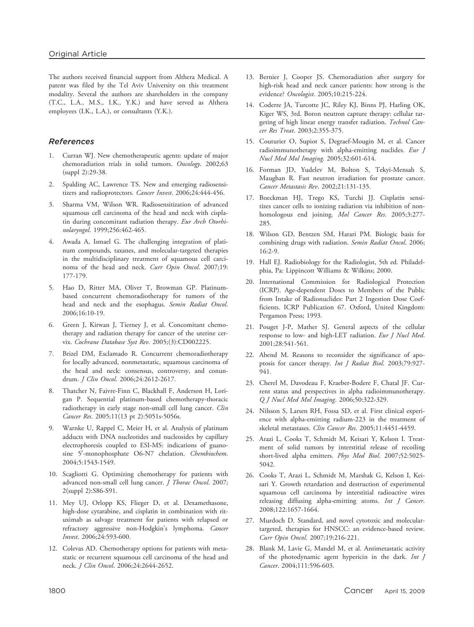The authors received financial support from Althera Medical. A patent was filed by the Tel Aviv University on this treatment modality. Several the authors are shareholders in the company (T.C., L.A., M.S., I.K., Y.K.) and have served as Althera employees (I.K., L.A.), or consultants (Y.K.).

#### References

- 1. Curran WJ. New chemotherapeutic agents: update of major chemoradiation trials in solid tumors. Oncology. 2002;63 (suppl 2):29-38.
- 2. Spalding AC, Lawrence TS. New and emerging radiosensitizers and radioprotectors. Cancer Invest. 2006;24:444-456.
- 3. Sharma VM, Wilson WR. Radiosensitization of advanced squamous cell carcinoma of the head and neck with cisplatin during concomitant radiation therapy. Eur Arch Otorhinolaryngol. 1999;256:462-465.
- 4. Awada A, Ismael G. The challenging integration of platinum compounds, taxanes, and molecular-targeted therapies in the multidisciplinary treatment of squamous cell carcinoma of the head and neck. Curr Opin Oncol. 2007;19: 177-179.
- 5. Hao D, Ritter MA, Oliver T, Browman GP. Platinumbased concurrent chemoradiotherapy for tumors of the head and neck and the esophagus. Semin Radiat Oncol. 2006;16:10-19.
- 6. Green J, Kirwan J, Tierney J, et al. Concomitant chemotherapy and radiation therapy for cancer of the uterine cervix. Cochrane Database Syst Rev. 2005;(3):CD002225.
- 7. Brizel DM, Esclamado R. Concurrent chemoradiotherapy for locally advanced, nonmetastatic, squamous carcinoma of the head and neck: consensus, controversy, and conundrum. J Clin Oncol. 2006;24:2612-2617.
- 8. Thatcher N, Faivre-Finn C, Blackhall F, Anderson H, Lorigan P. Sequential platinum-based chemotherapy-thoracic radiotherapy in early stage non-small cell lung cancer. Clin Cancer Res. 2005;11(13 pt 2):5051s-5056s.
- Warnke U, Rappel C, Meier H, et al. Analysis of platinum adducts with DNA nucleotides and nucleosides by capillary electrophoresis coupled to ESI-MS: indications of guanosine 5'-monophosphate O6-N7 chelation. Chembiochem. 2004;5:1543-1549.
- 10. Scagliotti G. Optimizing chemotherapy for patients with advanced non-small cell lung cancer. J Thorac Oncol. 2007; 2(suppl 2):S86-S91.
- 11. Mey UJ, Orlopp KS, Flieger D, et al. Dexamethasone, high-dose cytarabine, and cisplatin in combination with rituximab as salvage treatment for patients with relapsed or refractory aggressive non-Hodgkin's lymphoma. Cancer Invest. 2006;24:593-600.
- 12. Colevas AD. Chemotherapy options for patients with metastatic or recurrent squamous cell carcinoma of the head and neck. J Clin Oncol. 2006;24:2644-2652.
- 13. Bernier J, Cooper JS. Chemoradiation after surgery for high-risk head and neck cancer patients: how strong is the evidence? Oncologist. 2005;10:215-224.
- 14. Coderre JA, Turcotte JC, Riley KJ, Binns PJ, Harling OK, Kiger WS, 3rd. Boron neutron capture therapy: cellular targeting of high linear energy transfer radiation. Technol Cancer Res Treat. 2003;2:355-375.
- 15. Couturier O, Supiot S, Degraef-Mougin M, et al. Cancer radioimmunotherapy with alpha-emitting nuclides. Eur J Nucl Med Mol Imaging. 2005;32:601-614.
- 16. Forman JD, Yudelev M, Bolton S, Tekyi-Mensah S, Maughan R. Fast neutron irradiation for prostate cancer. Cancer Metastasis Rev. 2002;21:131-135.
- 17. Boeckman HJ, Trego KS, Turchi JJ. Cisplatin sensitizes cancer cells to ionizing radiation via inhibition of nonhomologous end joining. Mol Cancer Res. 2005;3:277- 285.
- 18. Wilson GD, Bentzen SM, Harari PM. Biologic basis for combining drugs with radiation. Semin Radiat Oncol. 2006; 16:2-9.
- 19. Hall EJ. Radiobiology for the Radiologist, 5th ed. Philadelphia, Pa: Lippincott Williams & Wilkins; 2000.
- 20. International Commission for Radiological Protection (ICRP). Age-dependent Doses to Members of the Public from Intake of Radionuclides: Part 2 Ingestion Dose Coefficients. ICRP Publication 67. Oxford, United Kingdom: Pergamon Press; 1993.
- 21. Pouget J-P, Mather SJ. General aspects of the cellular response to low- and high-LET radiation. Eur J Nucl Med. 2001;28:541-561.
- 22. Abend M. Reasons to reconsider the significance of apoptosis for cancer therapy. Int J Radiat Biol. 2003;79:927- 941.
- 23. Cherel M, Davodeau F, Kraeber-Bodere F, Chatal JF. Current status and perspectives in alpha radioimmunotherapy. Q J Nucl Med Mol Imaging. 2006;50:322-329.
- 24. Nilsson S, Larsen RH, Fossa SD, et al. First clinical experience with alpha-emitting radium-223 in the treatment of skeletal metastases. Clin Cancer Res. 2005;11:4451-4459.
- 25. Arazi L, Cooks T, Schmidt M, Keisari Y, Kelson I. Treatment of solid tumors by interstitial release of recoiling short-lived alpha emitters. Phys Med Biol. 2007;52:5025- 5042.
- 26. Cooks T, Arazi L, Schmidt M, Marshak G, Kelson I, Keisari Y. Growth retardation and destruction of experimental squamous cell carcinoma by interstitial radioactive wires releasing diffusing alpha-emitting atoms. Int J Cancer. 2008;122:1657-1664.
- 27. Murdoch D. Standard, and novel cytotoxic and moleculartargeted, therapies for HNSCC: an evidence-based review. Curr Opin Oncol. 2007;19:216-221.
- 28. Blank M, Lavie G, Mandel M, et al. Antimetastatic activity of the photodynamic agent hypericin in the dark. Int J Cancer. 2004;111:596-603.